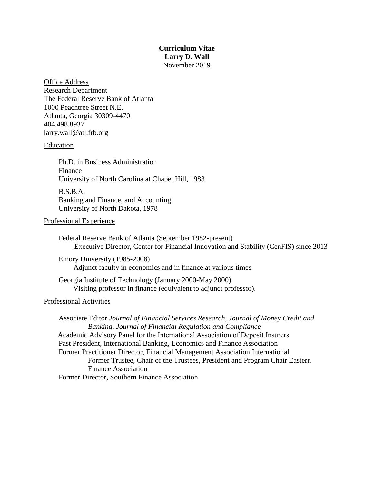# **Curriculum Vitae Larry D. Wall** November 2019

Office Address Research Department The Federal Reserve Bank of Atlanta 1000 Peachtree Street N.E. Atlanta, Georgia 30309-4470 404.498.8937 larry.wall@atl.frb.org

### Education

Ph.D. in Business Administration Finance University of North Carolina at Chapel Hill, 1983

B.S.B.A. Banking and Finance, and Accounting University of North Dakota, 1978

### Professional Experience

Federal Reserve Bank of Atlanta (September 1982-present) Executive Director, Center for Financial Innovation and Stability (CenFIS) since 2013

Emory University (1985-2008) Adjunct faculty in economics and in finance at various times

Georgia Institute of Technology (January 2000-May 2000) Visiting professor in finance (equivalent to adjunct professor).

# Professional Activities

Associate Editor *Journal of Financial Services Research, Journal of Money Credit and Banking, Journal of Financial Regulation and Compliance* Academic Advisory Panel for the International Association of Deposit Insurers Past President, International Banking, Economics and Finance Association Former Practitioner Director, Financial Management Association International Former Trustee, Chair of the Trustees, President and Program Chair Eastern Finance Association Former Director, Southern Finance Association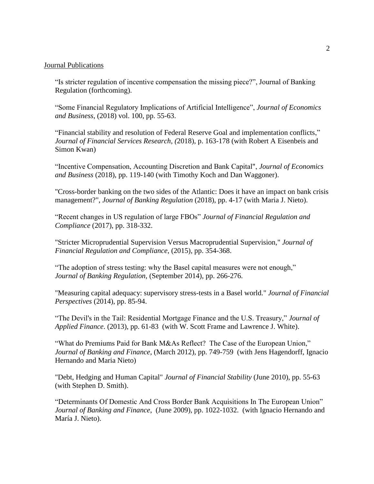### Journal Publications

"Is stricter regulation of incentive compensation the missing piece?", Journal of Banking Regulation (forthcoming).

"Some Financial Regulatory Implications of Artificial Intelligence", *Journal of Economics and Business*, (2018) vol. 100, pp. 55-63.

"Financial stability and resolution of Federal Reserve Goal and implementation conflicts," *Journal of Financial Services Research, (*2018), p. 163-178 (with Robert A Eisenbeis and Simon Kwan)

"Incentive Compensation, Accounting Discretion and Bank Capital", *Journal of Economics and Business* (2018), pp. 119-140 (with Timothy Koch and Dan Waggoner).

"Cross-border banking on the two sides of the Atlantic: Does it have an impact on bank crisis management?", *Journal of Banking Regulation* (2018), pp. 4-17 (with Maria J. Nieto).

"Recent changes in US regulation of large FBOs" *Journal of Financial Regulation and Compliance* (2017), pp. 318-332.

"Stricter Microprudential Supervision Versus Macroprudential Supervision," *Journal of Financial Regulation and Compliance*, (2015), pp. 354-368.

"The adoption of stress testing: why the Basel capital measures were not enough," *Journal of Banking Regulation*, (September 2014), pp. 266-276.

"Measuring capital adequacy: supervisory stress-tests in a Basel world." *Journal of Financial Perspectives* (2014), pp. 85-94.

"The Devil's in the Tail: Residential Mortgage Finance and the U.S. Treasury," *Journal of Applied Finance*. (2013), pp. 61-83 (with W. Scott Frame and Lawrence J. White).

"What do Premiums Paid for Bank M&As Reflect? The Case of the European Union," *Journal of Banking and Finance*, (March 2012), pp. 749-759 (with Jens Hagendorff, Ignacio Hernando and Maria Nieto)

"Debt, Hedging and Human Capital" *Journal of Financial Stability* (June 2010), pp. 55-63 (with Stephen D. Smith).

"Determinants Of Domestic And Cross Border Bank Acquisitions In The European Union" *Journal of Banking and Finance*, (June 2009), pp. 1022-1032. (with Ignacio Hernando and María J. Nieto).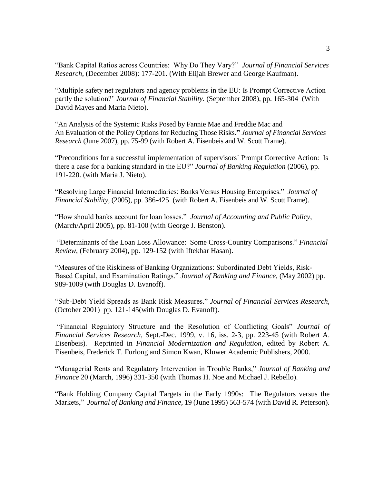"Bank Capital Ratios across Countries: Why Do They Vary?" *Journal of Financial Services Research*, (December 2008): 177-201. (With Elijah Brewer and George Kaufman).

"Multiple safety net regulators and agency problems in the EU: Is Prompt Corrective Action partly the solution?' *Journal of Financial Stability*. (September 2008), pp. 165-304 (With David Mayes and Maria Nieto).

"An Analysis of the Systemic Risks Posed by Fannie Mae and Freddie Mac and An Evaluation of the Policy Options for Reducing Those Risks.**"** *Journal of Financial Services Research* (June 2007), pp. 75-99 (with Robert A. Eisenbeis and W. Scott Frame).

"Preconditions for a successful implementation of supervisors´ Prompt Corrective Action: Is there a case for a banking standard in the EU?" *Journal of Banking Regulation* (2006), pp. 191-220. (with Maria J. Nieto).

"Resolving Large Financial Intermediaries: Banks Versus Housing Enterprises." *Journal of Financial Stability*, (2005), pp. 386-425 (with Robert A. Eisenbeis and W. Scott Frame).

"How should banks account for loan losses." *Journal of Accounting and Public Policy*, (March/April 2005), pp. 81-100 (with George J. Benston).

"Determinants of the Loan Loss Allowance: Some Cross-Country Comparisons." *Financial Review*, (February 2004), pp. 129-152 (with Iftekhar Hasan).

"Measures of the Riskiness of Banking Organizations: Subordinated Debt Yields, Risk-Based Capital, and Examination Ratings." *Journal of Banking and Finance*, (May 2002) pp. 989-1009 (with Douglas D. Evanoff).

"Sub-Debt Yield Spreads as Bank Risk Measures." *Journal of Financial Services Research,* (October 2001) pp. 121-145(with Douglas D. Evanoff).

"Financial Regulatory Structure and the Resolution of Conflicting Goals" *Journal of Financial Services Research*, Sept.-Dec. 1999, v. 16, iss. 2-3, pp. 223-45 (with Robert A. Eisenbeis)*.* Reprinted in *Financial Modernization and Regulation*, edited by Robert A. Eisenbeis, Frederick T. Furlong and Simon Kwan, Kluwer Academic Publishers, 2000.

"Managerial Rents and Regulatory Intervention in Trouble Banks," *Journal of Banking and Finance* 20 (March, 1996) 331-350 (with Thomas H. Noe and Michael J. Rebello).

"Bank Holding Company Capital Targets in the Early 1990s: The Regulators versus the Markets," *Journal of Banking and Finance*, 19 (June 1995) 563-574 (with David R. Peterson).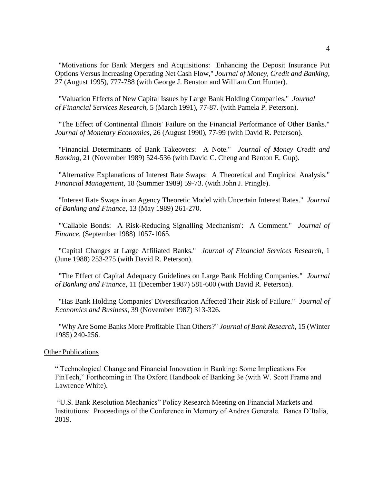"Motivations for Bank Mergers and Acquisitions: Enhancing the Deposit Insurance Put Options Versus Increasing Operating Net Cash Flow," *Journal of Money, Credit and Banking*, 27 (August 1995), 777-788 (with George J. Benston and William Curt Hunter).

"Valuation Effects of New Capital Issues by Large Bank Holding Companies." *Journal of Financial Services Research*, 5 (March 1991), 77-87. (with Pamela P. Peterson).

"The Effect of Continental Illinois' Failure on the Financial Performance of Other Banks." *Journal of Monetary Economics*, 26 (August 1990), 77-99 (with David R. Peterson).

"Financial Determinants of Bank Takeovers: A Note." *Journal of Money Credit and Banking*, 21 (November 1989) 524-536 (with David C. Cheng and Benton E. Gup).

"Alternative Explanations of Interest Rate Swaps: A Theoretical and Empirical Analysis." *Financial Management*, 18 (Summer 1989) 59-73. (with John J. Pringle).

"Interest Rate Swaps in an Agency Theoretic Model with Uncertain Interest Rates." *Journal of Banking and Finance*, 13 (May 1989) 261-270.

"'Callable Bonds: A Risk-Reducing Signalling Mechanism': A Comment." *Journal of Finance*, (September 1988) 1057-1065.

"Capital Changes at Large Affiliated Banks." *Journal of Financial Services Research*, 1 (June 1988) 253-275 (with David R. Peterson).

"The Effect of Capital Adequacy Guidelines on Large Bank Holding Companies." *Journal of Banking and Finance*, 11 (December 1987) 581-600 (with David R. Peterson).

"Has Bank Holding Companies' Diversification Affected Their Risk of Failure." *Journal of Economics and Business*, 39 (November 1987) 313-326.

"Why Are Some Banks More Profitable Than Others?" *Journal of Bank Research*, 15 (Winter 1985) 240-256.

### **Other Publications**

" Technological Change and Financial Innovation in Banking: Some Implications For FinTech," Forthcoming in The Oxford Handbook of Banking 3e (with W. Scott Frame and Lawrence White).

"U.S. Bank Resolution Mechanics" Policy Research Meeting on Financial Markets and Institutions: Proceedings of the Conference in Memory of Andrea Generale. Banca D'Italia, 2019.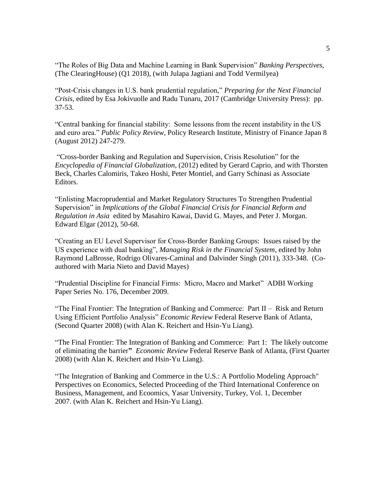"The Roles of Big Data and Machine Learning in Bank Supervision" *Banking Perspectives*, (The ClearingHouse) (Q1 2018), (with Julapa Jagtiani and Todd Vermilyea)

"Post-Crisis changes in U.S. bank prudential regulation," *Preparing for the Next Financial Crisis*, edited by Esa Jokivuolle and Radu Tunaru, 2017 (Cambridge University Press): pp. 37-53.

"Central banking for financial stability: Some lessons from the recent instability in the US and euro area." *Public Policy Review*, Policy Research Institute, Ministry of Finance Japan 8 (August 2012) 247-279.

"Cross-border Banking and Regulation and Supervision, Crisis Resolution" for the *Encyclopedia of Financial Globalization*, (2012) edited by Gerard Caprio, and with Thorsten Beck, Charles Calomiris, Takeo Hoshi, Peter Montiel, and Garry Schinasi as Associate Editors.

"Enlisting Macroprudential and Market Regulatory Structures To Strengthen Prudential Supervision" in *Implications of the Global Financial Crisis for Financial Reform and Regulation in Asia* edited by Masahiro Kawai, David G. Mayes, and Peter J. Morgan. Edward Elgar (2012), 50-68.

"Creating an EU Level Supervisor for Cross-Border Banking Groups: Issues raised by the US experience with dual banking", *Managing Risk in the Financial System*, edited by John Raymond LaBrosse, Rodrigo Olivares-Caminal and Dalvinder Singh (2011), 333-348. (Coauthored with Maria Nieto and David Mayes)

"Prudential Discipline for Financial Firms: Micro, Macro and Market" ADBI Working Paper Series No. 176, December 2009.

"The Final Frontier: The Integration of Banking and Commerce: Part II – Risk and Return Using Efficient Portfolio Analysis" *Economic Review* Federal Reserve Bank of Atlanta, (Second Quarter 2008) (with Alan K. Reichert and Hsin-Yu Liang).

"The Final Frontier: The Integration of Banking and Commerce: Part 1: The likely outcome of eliminating the barrier**"** *Economic Review* Federal Reserve Bank of Atlanta, (First Quarter 2008) (with Alan K. Reichert and Hsin-Yu Liang).

"The Integration of Banking and Commerce in the U.S.: A Portfolio Modeling Approach" Perspectives on Economics, Selected Proceeding of the Third International Conference on Business, Management, and Ecoomics, Yasar University, Turkey, Vol. 1, December 2007. (with Alan K. Reichert and Hsin-Yu Liang).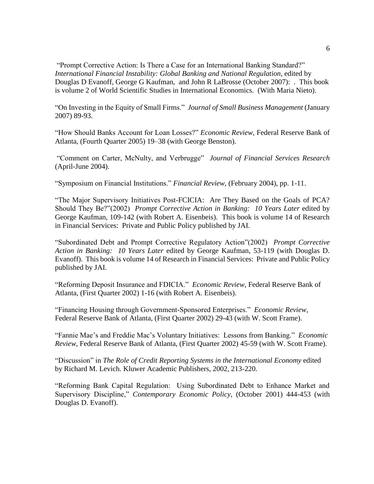"Prompt Corrective Action: Is There a Case for an International Banking Standard?" *International Financial Instability: Global Banking and National Regulation*, edited by Douglas D Evanoff, George G Kaufman, and John R LaBrosse (October 2007): . This book is volume 2 of World Scientific Studies in International Economics. (With Maria Nieto).

"On Investing in the Equity of Small Firms." *Journal of Small Business Management* (January 2007) 89-93.

"How Should Banks Account for Loan Losses?" *Economic Review*, Federal Reserve Bank of Atlanta, (Fourth Quarter 2005) 19–38 (with George Benston).

"Comment on Carter, McNulty, and Verbrugge" *Journal of Financial Services Research* (April-June 2004).

"Symposium on Financial Institutions." *Financial Review*, (February 2004), pp. 1-11.

"The Major Supervisory Initiatives Post-FCICIA: Are They Based on the Goals of PCA? Should They Be?"(2002) *Prompt Corrective Action in Banking: 10 Years Later* edited by George Kaufman, 109-142 (with Robert A. Eisenbeis). This book is volume 14 of Research in Financial Services: Private and Public Policy published by JAI.

"Subordinated Debt and Prompt Corrective Regulatory Action"(2002) *Prompt Corrective Action in Banking: 10 Years Later* edited by George Kaufman, 53-119 (with Douglas D. Evanoff). This book is volume 14 of Research in Financial Services: Private and Public Policy published by JAI.

"Reforming Deposit Insurance and FDICIA." *Economic Review*, Federal Reserve Bank of Atlanta, (First Quarter 2002) 1-16 (with Robert A. Eisenbeis).

"Financing Housing through Government-Sponsored Enterprises." *Economic Review*, Federal Reserve Bank of Atlanta, (First Quarter 2002) 29-43 (with W. Scott Frame).

"Fannie Mae's and Freddie Mac's Voluntary Initiatives: Lessons from Banking." *Economic Review*, Federal Reserve Bank of Atlanta, (First Quarter 2002) 45-59 (with W. Scott Frame).

"Discussion" in *The Role of Credit Reporting Systems in the International Economy* edited by Richard M. Levich. Kluwer Academic Publishers, 2002, 213-220.

"Reforming Bank Capital Regulation: Using Subordinated Debt to Enhance Market and Supervisory Discipline," *Contemporary Economic Policy,* (October 2001) 444-453 (with Douglas D. Evanoff).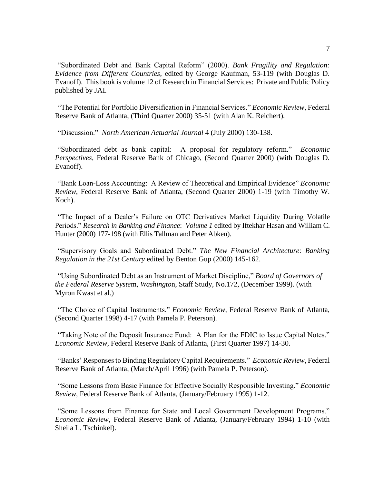"Subordinated Debt and Bank Capital Reform" (2000). *Bank Fragility and Regulation: Evidence from Different Countries*, edited by George Kaufman, 53-119 (with Douglas D. Evanoff). This book is volume 12 of Research in Financial Services: Private and Public Policy published by JAI.

"The Potential for Portfolio Diversification in Financial Services." *Economic Review*, Federal Reserve Bank of Atlanta, (Third Quarter 2000) 35-51 (with Alan K. Reichert).

"Discussion." *North American Actuarial Journal* 4 (July 2000) 130-138.

"Subordinated debt as bank capital: A proposal for regulatory reform." *Economic Perspectives*, Federal Reserve Bank of Chicago, (Second Quarter 2000) (with Douglas D. Evanoff).

"Bank Loan-Loss Accounting: A Review of Theoretical and Empirical Evidence" *Economic Review*, Federal Reserve Bank of Atlanta, (Second Quarter 2000) 1-19 (with Timothy W. Koch).

"The Impact of a Dealer's Failure on OTC Derivatives Market Liquidity During Volatile Periods." *Research in Banking and Finance*: *Volume 1* edited by Iftekhar Hasan and William C. Hunter (2000) 177-198 (with Ellis Tallman and Peter Abken).

"Supervisory Goals and Subordinated Debt." *The New Financial Architecture: Banking Regulation in the 21st Century* edited by Benton Gup (2000) 145-162.

"Using Subordinated Debt as an Instrument of Market Discipline," *Board of Governors of the Federal Reserve Syste*m, *Washingto*n, Staff Study, No.172, (December 1999). (with Myron Kwast et al.)

"The Choice of Capital Instruments." *Economic Review*, Federal Reserve Bank of Atlanta, (Second Quarter 1998) 4-17 (with Pamela P. Peterson).

"Taking Note of the Deposit Insurance Fund: A Plan for the FDIC to Issue Capital Notes." *Economic Review*, Federal Reserve Bank of Atlanta, (First Quarter 1997) 14-30.

"Banks' Responses to Binding Regulatory Capital Requirements." *Economic Review*, Federal Reserve Bank of Atlanta, (March/April 1996) (with Pamela P. Peterson).

"Some Lessons from Basic Finance for Effective Socially Responsible Investing." *Economic Review*, Federal Reserve Bank of Atlanta, (January/February 1995) 1-12.

"Some Lessons from Finance for State and Local Government Development Programs." *Economic Review*, Federal Reserve Bank of Atlanta, (January/February 1994) 1-10 (with Sheila L. Tschinkel).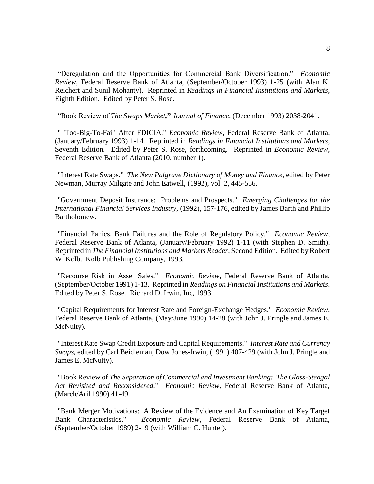"Deregulation and the Opportunities for Commercial Bank Diversification." *Economic Review*, Federal Reserve Bank of Atlanta, (September/October 1993) 1-25 (with Alan K. Reichert and Sunil Mohanty). Reprinted in *Readings in Financial Institutions and Markets*, Eighth Edition. Edited by Peter S. Rose.

"Book Review of *The Swaps Market,***"** *Journal of Finance*, (December 1993) 2038-2041.

" 'Too-Big-To-Fail' After FDICIA." *Economic Review*, Federal Reserve Bank of Atlanta, (January/February 1993) 1-14. Reprinted in *Readings in Financial Institutions and Markets*, Seventh Edition. Edited by Peter S. Rose, forthcoming. Reprinted in *Economic Review*, Federal Reserve Bank of Atlanta (2010, number 1).

"Interest Rate Swaps." *The New Palgrave Dictionary of Money and Finance*, edited by Peter Newman, Murray Milgate and John Eatwell, (1992), vol. 2, 445-556.

"Government Deposit Insurance: Problems and Prospects." *Emerging Challenges for the International Financial Services Industry*, (1992), 157-176, edited by James Barth and Phillip Bartholomew.

"Financial Panics, Bank Failures and the Role of Regulatory Policy." *Economic Review*, Federal Reserve Bank of Atlanta, (January/February 1992) 1-11 (with Stephen D. Smith). Reprinted in *The Financial Institutions and Markets Reader*, Second Edition. Edited by Robert W. Kolb. Kolb Publishing Company, 1993.

"Recourse Risk in Asset Sales." *Economic Review*, Federal Reserve Bank of Atlanta, (September/October 1991) 1-13. Reprinted in *Readings on Financial Institutions and Markets*. Edited by Peter S. Rose. Richard D. Irwin, Inc, 1993.

"Capital Requirements for Interest Rate and Foreign-Exchange Hedges." *Economic Review*, Federal Reserve Bank of Atlanta, (May/June 1990) 14-28 (with John J. Pringle and James E. McNulty).

"Interest Rate Swap Credit Exposure and Capital Requirements." *Interest Rate and Currency Swaps*, edited by Carl Beidleman, Dow Jones-Irwin, (1991) 407-429 (with John J. Pringle and James E. McNulty).

"Book Review of *The Separation of Commercial and Investment Banking: The Glass-Steagal Act Revisited and Reconsidered*." *Economic Review*, Federal Reserve Bank of Atlanta, (March/Aril 1990) 41-49.

"Bank Merger Motivations: A Review of the Evidence and An Examination of Key Target Bank Characteristics." *Economic Review*, Federal Reserve Bank of Atlanta, (September/October 1989) 2-19 (with William C. Hunter).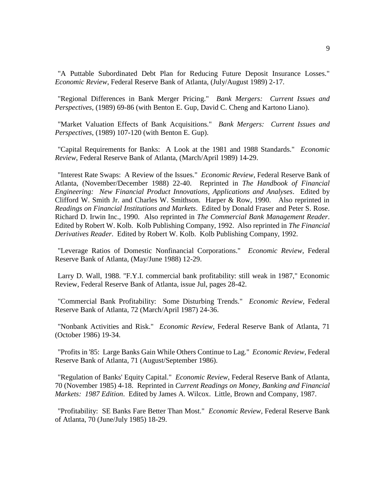"A Puttable Subordinated Debt Plan for Reducing Future Deposit Insurance Losses." *Economic Review*, Federal Reserve Bank of Atlanta, (July/August 1989) 2-17.

"Regional Differences in Bank Merger Pricing." *Bank Mergers: Current Issues and Perspectives*, (1989) 69-86 (with Benton E. Gup, David C. Cheng and Kartono Liano).

"Market Valuation Effects of Bank Acquisitions." *Bank Mergers: Current Issues and Perspectives*, (1989) 107-120 (with Benton E. Gup).

"Capital Requirements for Banks: A Look at the 1981 and 1988 Standards." *Economic Review*, Federal Reserve Bank of Atlanta, (March/April 1989) 14-29.

"Interest Rate Swaps: A Review of the Issues." *Economic Review*, Federal Reserve Bank of Atlanta, (November/December 1988) 22-40. Reprinted in *The Handbook of Financial Engineering: New Financial Product Innovations, Applications and Analyses*. Edited by Clifford W. Smith Jr. and Charles W. Smithson. Harper & Row, 1990. Also reprinted in *Readings on Financial Institutions and Markets*. Edited by Donald Fraser and Peter S. Rose. Richard D. Irwin Inc., 1990. Also reprinted in *The Commercial Bank Management Reader*. Edited by Robert W. Kolb. Kolb Publishing Company, 1992. Also reprinted in *The Financial Derivatives Reader*. Edited by Robert W. Kolb. Kolb Publishing Company, 1992.

"Leverage Ratios of Domestic Nonfinancial Corporations." *Economic Review*, Federal Reserve Bank of Atlanta, (May/June 1988) 12-29.

Larry D. Wall, 1988. "F.Y.I. commercial bank profitability: still weak in 1987," Economic Review, Federal Reserve Bank of Atlanta, issue Jul, pages 28-42.

"Commercial Bank Profitability: Some Disturbing Trends." *Economic Review*, Federal Reserve Bank of Atlanta, 72 (March/April 1987) 24-36.

"Nonbank Activities and Risk." *Economic Review*, Federal Reserve Bank of Atlanta, 71 (October 1986) 19-34.

"Profits in '85: Large Banks Gain While Others Continue to Lag." *Economic Review*, Federal Reserve Bank of Atlanta, 71 (August/September 1986).

"Regulation of Banks' Equity Capital." *Economic Review*, Federal Reserve Bank of Atlanta, 70 (November 1985) 4-18. Reprinted in *Current Readings on Money, Banking and Financial Markets: 1987 Edition*. Edited by James A. Wilcox. Little, Brown and Company, 1987.

"Profitability: SE Banks Fare Better Than Most." *Economic Review*, Federal Reserve Bank of Atlanta, 70 (June/July 1985) 18-29.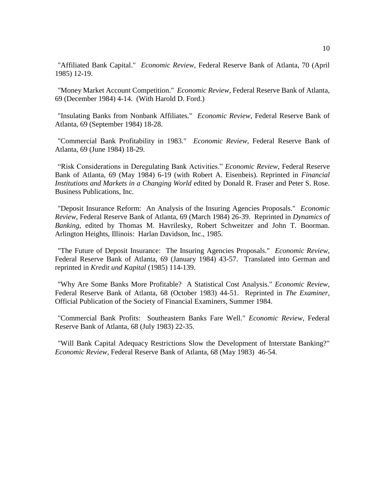"Affiliated Bank Capital." *Economic Review*, Federal Reserve Bank of Atlanta, 70 (April 1985) 12-19.

"Money Market Account Competition." *Economic Review*, Federal Reserve Bank of Atlanta, 69 (December 1984) 4-14. (With Harold D. Ford.)

"Insulating Banks from Nonbank Affiliates." *Economic Review*, Federal Reserve Bank of Atlanta, 69 (September 1984) 18-28.

"Commercial Bank Profitability in 1983." *Economic Review*, Federal Reserve Bank of Atlanta, 69 (June 1984) 18-29.

"Risk Considerations in Deregulating Bank Activities." *Economic Review*, Federal Reserve Bank of Atlanta, 69 (May 1984) 6-19 (with Robert A. Eisenbeis). Reprinted in *Financial Institutions and Markets in a Changing World* edited by Donald R. Fraser and Peter S. Rose. Business Publications, Inc.

"Deposit Insurance Reform: An Analysis of the Insuring Agencies Proposals." *Economic Review*, Federal Reserve Bank of Atlanta, 69 (March 1984) 26-39. Reprinted in *Dynamics of Banking*, edited by Thomas M. Havrilesky, Robert Schweitzer and John T. Boorman. Arlington Heights, Illinois: Harlan Davidson, Inc., 1985.

"The Future of Deposit Insurance: The Insuring Agencies Proposals." *Economic Review*, Federal Reserve Bank of Atlanta, 69 (January 1984) 43-57. Translated into German and reprinted in *Kredit und Kapital* (1985) 114-139.

"Why Are Some Banks More Profitable? A Statistical Cost Analysis." *Economic Review*, Federal Reserve Bank of Atlanta, 68 (October 1983) 44-51. Reprinted in *The Examiner*, Official Publication of the Society of Financial Examiners, Summer 1984.

"Commercial Bank Profits: Southeastern Banks Fare Well." *Economic Review*, Federal Reserve Bank of Atlanta, 68 (July 1983) 22-35.

"Will Bank Capital Adequacy Restrictions Slow the Development of Interstate Banking?" *Economic Review*, Federal Reserve Bank of Atlanta, 68 (May 1983) 46-54.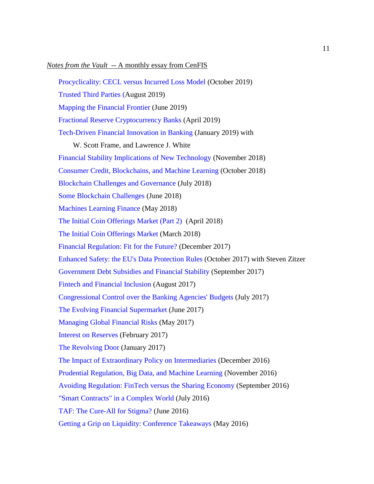#### *Notes from the Vault* -- A monthly essay from CenFIS

[Procyclicality: CECL versus Incurred Loss Model](https://www.frbatlanta.org/cenfis/publications/notesfromthevault/10-procyclicality-cecl-versus-incurred-loss-model-2019-10-31.aspx) (October 2019)

[Trusted Third Parties](https://www.frbatlanta.org/cenfis/publications/notesfromthevault/08-trusted-third-parties-2019-08-28.aspx) (August 2019)

[Mapping the Financial Frontier](https://www.frbatlanta.org/cenfis/publications/notesfromthevault/06-mapping-the-financial-frontier-2019-06-24.aspx) (June 2019)

[Fractional Reserve Cryptocurrency Banks](https://www.frbatlanta.org/cenfis/publications/notesfromthevault/04-fractional-reserve-cryptocurrency-banks-2019-04-25.aspx) (April 2019)

[Tech-Driven Financial Innovation in Banking](https://www.frbatlanta.org/cenfis/publications/notesfromthevault/01-tech-driven-financial-innovation-in-banking-2019-01-22.aspx) (January 2019) with

W. Scott Frame, and Lawrence J. White

[Financial Stability Implications of New Technology](https://www.frbatlanta.org/cenfis/publications/notesfromthevault/11-financial-stability-implications-of-new-technology-2018-11-29.aspx) (November 2018)

[Consumer Credit, Blockchains, and Machine Learning](https://www.frbatlanta.org/cenfis/publications/notesfromthevault/10-consumer-credit-blockchains-and-machine-learning-2018-10-31.aspx) (October 2018)

[Blockchain Challenges and Governance](https://www.frbatlanta.org/cenfis/publications/notesfromthevault/07-blockchain-challenges-and-governance-2018-07-30.aspx) (July 2018)

[Some Blockchain Challenges](https://www.frbatlanta.org/cenfis/publications/notesfromthevault/06-some-blockchain-challenges-2018-06-27.aspx) (June 2018)

[Machines Learning Finance](https://www.frbatlanta.org/cenfis/publications/notesfromthevault/05-machines-learning-finance-2018-05-31.aspx) (May 2018)

[The Initial Coin Offerings Market \(Part 2\)](https://www.frbatlanta.org/cenfis/publications/notesfromthevault/04-the-initial-coin-offerings-market-part-2-2018-04-20.aspx) (April 2018)

[The Initial Coin Offerings Market](https://www.frbatlanta.org/cenfis/publications/notesfromthevault/03-the-initial-coin-offerings-market-2018-03-09.aspx) (March 2018)

[Financial Regulation: Fit for the Future?](https://www.frbatlanta.org/cenfis/publications/notesfromthevault/12-financial-regulation-fit-for-the-future-2017-12-21.aspx) (December 2017)

[Enhanced Safety: the EU's Data Protection Rules](https://www.frbatlanta.org/cenfis/publications/notesfromthevault/10-enhanced-safety-the-eu-s-data-protection-rules-2017-10-30.aspx) (October 2017) with Steven Zitzer

[Government Debt Subsidies and Financial Stability](https://www.frbatlanta.org/cenfis/publications/notesfromthevault/09-government-debt-subsidies-and-financial-stability-2017-09-28.aspx) (September 2017)

[Fintech and Financial Inclusion](https://www.frbatlanta.org/cenfis/publications/notesfromthevault/08-fintech-and-financial-inclusion-2017-08-30.aspx) (August 2017)

[Congressional Control over the Banking Agencies'](https://www.frbatlanta.org/cenfis/publications/notesfromthevault/07-congressional-control-over-the-banking-agencies-budgets-2017-07-31.aspx) Budgets (July 2017)

[The Evolving Financial Supermarket](https://www.frbatlanta.org/cenfis/publications/notesfromthevault/06-the-evolving-financial-supermarket-2017-06-22.aspx) (June 2017)

[Managing Global Financial Risks](https://www.frbatlanta.org/cenfis/publications/notesfromthevault/05-managing-global-financial-risks-2017-05-30.aspx) (May 2017)

[Interest on Reserves](https://www.frbatlanta.org/cenfis/publications/notesfromthevault/02-interest-on-reserves-2017-02-27.aspx) (February 2017)

[The Revolving Door](https://www.frbatlanta.org/cenfis/publications/notesfromthevault/01-the-revolving-door-2017-01-30.aspx) (January 2017)

[The Impact of Extraordinary Policy on Intermediaries](https://www.frbatlanta.org/cenfis/publications/notesfromthevault/12-the-impact-of-extraordinary-policy-on-intermediaries-2016-12-16.aspx) (December 2016)

[Prudential Regulation, Big Data, and Machine Learning](https://www.frbatlanta.org/cenfis/publications/notesfromthevault/11-prudential-regulation-bigdata-and-machine-learning-2016-11-21.aspx) (November 2016)

[Avoiding Regulation: FinTech versus the Sharing Economy](https://www.frbatlanta.org/cenfis/publications/notesfromthevault/09-avoiding-regulation-fintech-versus-the-sharing-economy-2016-09-29.aspx) (September 2016)

["Smart Contracts" in a Complex World](https://www.frbatlanta.org/cenfis/publications/notesfromthevault/1607.aspx) (July 2016)

[TAF: The Cure-All for Stigma?](https://www.frbatlanta.org/cenfis/publications/notesfromthevault/1606.aspx) (June 2016)

[Getting a Grip on Liquidity: Conference Takeaways](https://www.frbatlanta.org/cenfis/publications/notesfromthevault/1605.aspx) (May 2016)